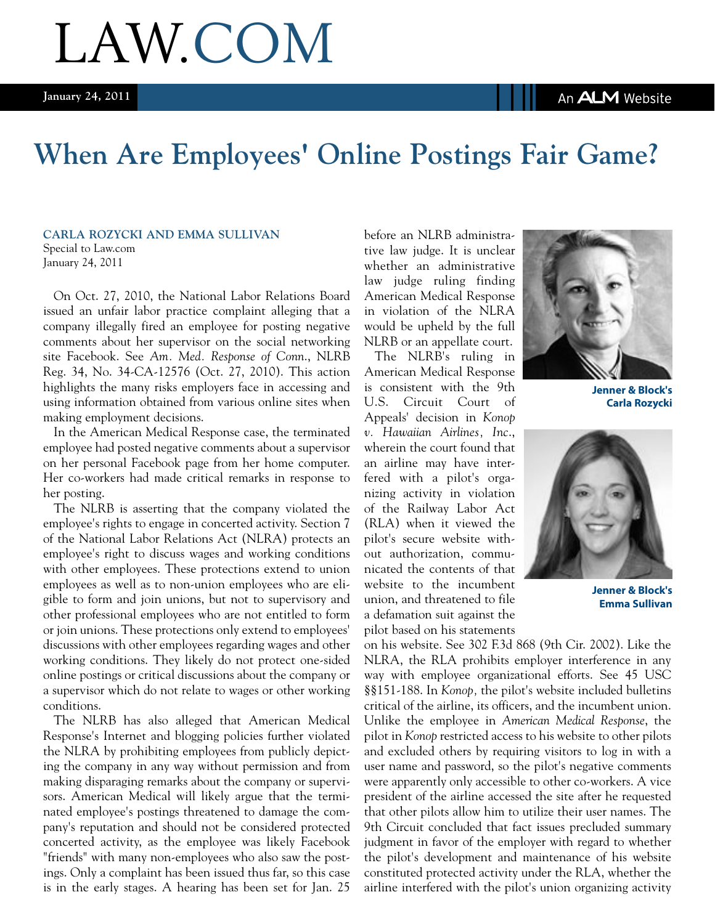An **ALM** Website

# LAW.COM

### **When Are Employees' Online Postings Fair Game?**

#### **Carla Rozycki and Emma Sullivan**

Special to Law.com January 24, 2011

On Oct. 27, 2010, the National Labor Relations Board issued an unfair labor practice complaint alleging that a company illegally fired an employee for posting negative comments about her supervisor on the social networking site Facebook. See *Am. Med. Response of Conn*., NLRB Reg. 34, No. 34-CA-12576 (Oct. 27, 2010). This action highlights the many risks employers face in accessing and using information obtained from various online sites when making employment decisions.

In the American Medical Response case, the terminated employee had posted negative comments about a supervisor on her personal Facebook page from her home computer. Her co-workers had made critical remarks in response to her posting.

The NLRB is asserting that the company violated the employee's rights to engage in concerted activity. Section 7 of the National Labor Relations Act (NLRA) protects an employee's right to discuss wages and working conditions with other employees. These protections extend to union employees as well as to non-union employees who are eligible to form and join unions, but not to supervisory and other professional employees who are not entitled to form or join unions. These protections only extend to employees' discussions with other employees regarding wages and other working conditions. They likely do not protect one-sided online postings or critical discussions about the company or a supervisor which do not relate to wages or other working conditions.

The NLRB has also alleged that American Medical Response's Internet and blogging policies further violated the NLRA by prohibiting employees from publicly depicting the company in any way without permission and from making disparaging remarks about the company or supervisors. American Medical will likely argue that the terminated employee's postings threatened to damage the company's reputation and should not be considered protected concerted activity, as the employee was likely Facebook "friends" with many non-employees who also saw the postings. Only a complaint has been issued thus far, so this case is in the early stages. A hearing has been set for Jan. 25 before an NLRB administrative law judge. It is unclear whether an administrative law judge ruling finding American Medical Response in violation of the NLRA would be upheld by the full NLRB or an appellate court.

The NLRB's ruling in American Medical Response is consistent with the 9th U.S. Circuit Court of Appeals' decision in *Konop v. Hawaiian Airlines, Inc*., wherein the court found that an airline may have interfered with a pilot's organizing activity in violation of the Railway Labor Act (RLA) when it viewed the pilot's secure website without authorization, communicated the contents of that website to the incumbent union, and threatened to file a defamation suit against the pilot based on his statements



**Jenner & Block's Carla Rozycki**



**Jenner & Block's Emma Sullivan**

on his website. See 302 F.3d 868 (9th Cir. 2002). Like the NLRA, the RLA prohibits employer interference in any way with employee organizational efforts. See 45 USC §§151-188. In *Konop,* the pilot's website included bulletins critical of the airline, its officers, and the incumbent union. Unlike the employee in *American Medical Response*, the pilot in *Konop* restricted access to his website to other pilots and excluded others by requiring visitors to log in with a user name and password, so the pilot's negative comments were apparently only accessible to other co-workers. A vice president of the airline accessed the site after he requested that other pilots allow him to utilize their user names. The 9th Circuit concluded that fact issues precluded summary judgment in favor of the employer with regard to whether the pilot's development and maintenance of his website constituted protected activity under the RLA, whether the airline interfered with the pilot's union organizing activity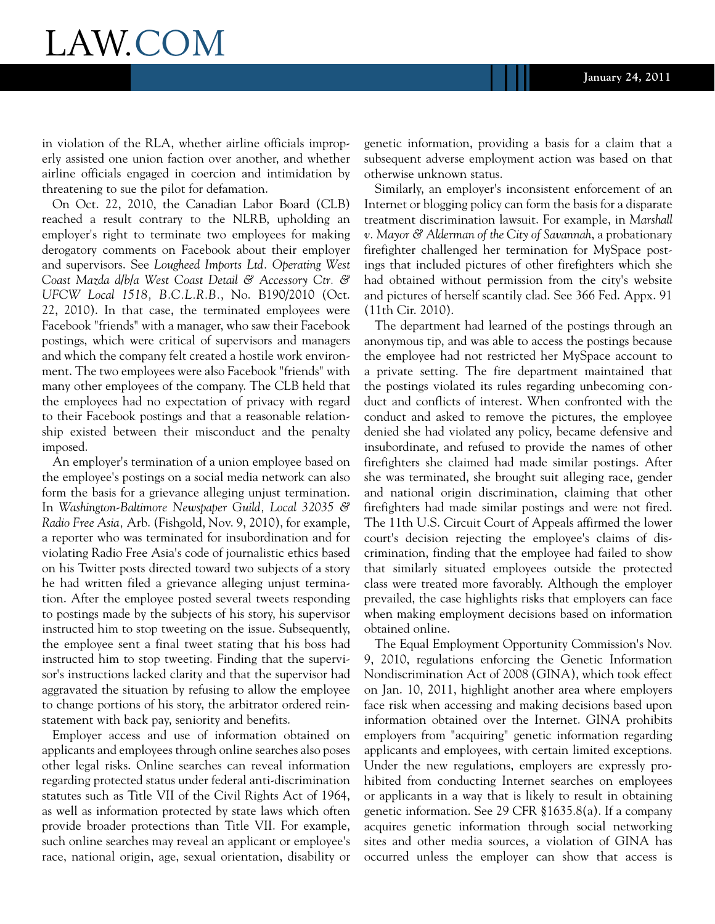### LAW.COM

in violation of the RLA, whether airline officials improperly assisted one union faction over another, and whether airline officials engaged in coercion and intimidation by threatening to sue the pilot for defamation.

On Oct. 22, 2010, the Canadian Labor Board (CLB) reached a result contrary to the NLRB, upholding an employer's right to terminate two employees for making derogatory comments on Facebook about their employer and supervisors. See *Lougheed Imports Ltd. Operating West Coast Mazda d/b/a West Coast Detail & Accessory Ctr. & UFCW Local 1518, B.C.L.R.B.*, No. B190/2010 (Oct. 22, 2010). In that case, the terminated employees were Facebook "friends" with a manager, who saw their Facebook postings, which were critical of supervisors and managers and which the company felt created a hostile work environment. The two employees were also Facebook "friends" with many other employees of the company. The CLB held that the employees had no expectation of privacy with regard to their Facebook postings and that a reasonable relationship existed between their misconduct and the penalty imposed.

An employer's termination of a union employee based on the employee's postings on a social media network can also form the basis for a grievance alleging unjust termination. In *Washington-Baltimore Newspaper Guild, Local 32035 & Radio Free Asia,* Arb. (Fishgold, Nov. 9, 2010), for example, a reporter who was terminated for insubordination and for violating Radio Free Asia's code of journalistic ethics based on his Twitter posts directed toward two subjects of a story he had written filed a grievance alleging unjust termination. After the employee posted several tweets responding to postings made by the subjects of his story, his supervisor instructed him to stop tweeting on the issue. Subsequently, the employee sent a final tweet stating that his boss had instructed him to stop tweeting. Finding that the supervisor's instructions lacked clarity and that the supervisor had aggravated the situation by refusing to allow the employee to change portions of his story, the arbitrator ordered reinstatement with back pay, seniority and benefits.

Employer access and use of information obtained on applicants and employees through online searches also poses other legal risks. Online searches can reveal information regarding protected status under federal anti-discrimination statutes such as Title VII of the Civil Rights Act of 1964, as well as information protected by state laws which often provide broader protections than Title VII. For example, such online searches may reveal an applicant or employee's race, national origin, age, sexual orientation, disability or

genetic information, providing a basis for a claim that a subsequent adverse employment action was based on that otherwise unknown status.

Similarly, an employer's inconsistent enforcement of an Internet or blogging policy can form the basis for a disparate treatment discrimination lawsuit. For example, in *Marshall v. Mayor & Alderman of the City of Savannah*, a probationary firefighter challenged her termination for MySpace postings that included pictures of other firefighters which she had obtained without permission from the city's website and pictures of herself scantily clad. See 366 Fed. Appx. 91 (11th Cir. 2010).

The department had learned of the postings through an anonymous tip, and was able to access the postings because the employee had not restricted her MySpace account to a private setting. The fire department maintained that the postings violated its rules regarding unbecoming conduct and conflicts of interest. When confronted with the conduct and asked to remove the pictures, the employee denied she had violated any policy, became defensive and insubordinate, and refused to provide the names of other firefighters she claimed had made similar postings. After she was terminated, she brought suit alleging race, gender and national origin discrimination, claiming that other firefighters had made similar postings and were not fired. The 11th U.S. Circuit Court of Appeals affirmed the lower court's decision rejecting the employee's claims of discrimination, finding that the employee had failed to show that similarly situated employees outside the protected class were treated more favorably. Although the employer prevailed, the case highlights risks that employers can face when making employment decisions based on information obtained online.

The Equal Employment Opportunity Commission's Nov. 9, 2010, regulations enforcing the Genetic Information Nondiscrimination Act of 2008 (GINA), which took effect on Jan. 10, 2011, highlight another area where employers face risk when accessing and making decisions based upon information obtained over the Internet. GINA prohibits employers from "acquiring" genetic information regarding applicants and employees, with certain limited exceptions. Under the new regulations, employers are expressly prohibited from conducting Internet searches on employees or applicants in a way that is likely to result in obtaining genetic information. See 29 CFR §1635.8(a). If a company acquires genetic information through social networking sites and other media sources, a violation of GINA has occurred unless the employer can show that access is